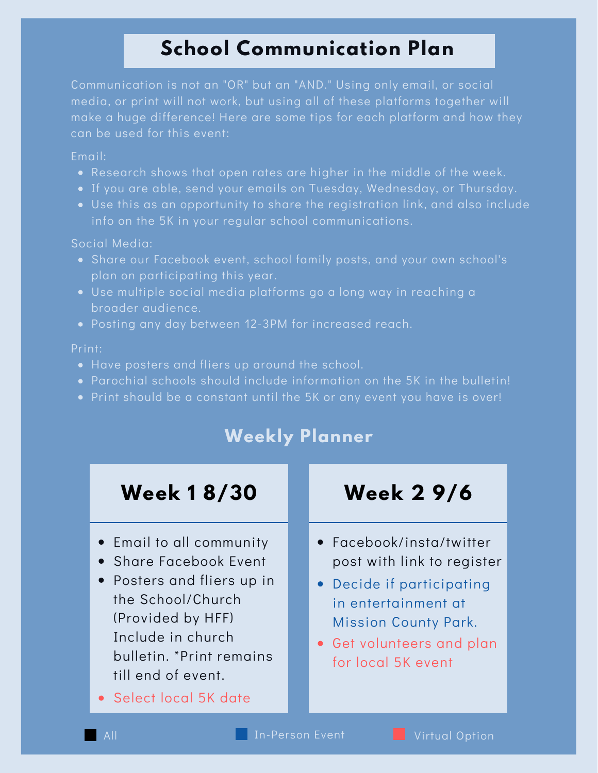# **School Communication Plan**

Communication is not an "OR" but an "AND." Using only email, or social media, or print will not work, but using all of these platforms together will make a huge difference! Here are some tips for each platform and how they can be used for this event:

### Email:

- Research shows that open rates are higher in the middle of the week.
- If you are able, send your emails on Tuesday, Wednesday, or Thursday.
- Use this as an opportunity to share the registration link, and also include info on the 5K in your regular school communications.

### Social Media:

- Share our Facebook event, school family posts, and your own school's plan on participating this year.
- Use multiple social media platforms go a long way in reaching a broader audience.
- Posting any day between 12-3PM for increased reach.

### Print:

- Have posters and fliers up around the school.
- Parochial schools should include information on the 5K in the bulletin!
- Print should be a constant until the 5K or any event you have is over!

## **Weekly Planner**

## **Week 1 8/30 Week 2 9/6**

- Email to all community
- Share Facebook Event
- Posters and fliers up in the School/Church (Provided by HFF) Include in church bulletin. \*Print remains till end of event.

Select local 5K date

- Facebook/insta/twitter post with link to register
- Decide if participating in entertainment at Mission County Park.
- Get volunteers and plan for local 5K event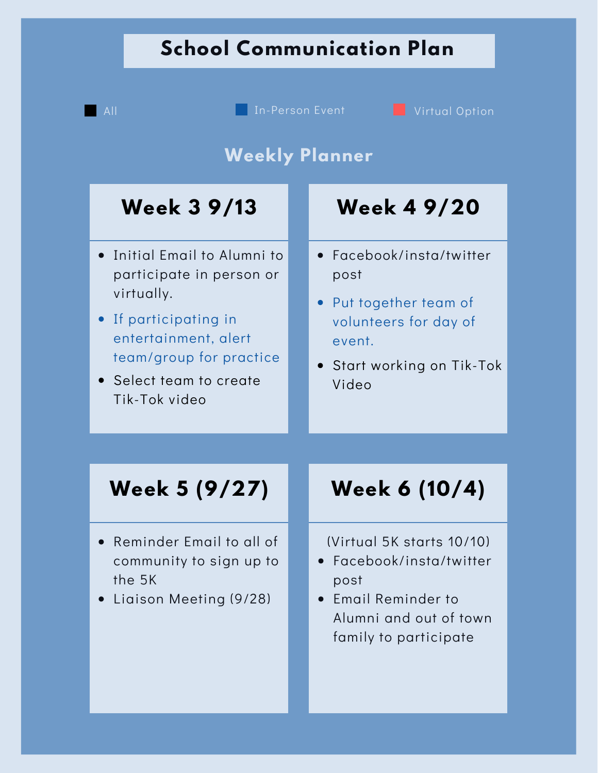# **School Communication Plan**

**Week 3 9/13 Week 4 9/20 Week 5 (9/27) Week 6 (10/4) Weekly Planner** Reminder Email to all of community to sign up to the 5K Liaison Meeting (9/28) Initial Email to Alumni to participate in person or virtually. Facebook/insta/twitter post Facebook/insta/twitter post Email Reminder to Alumni and out of town family to participate (Virtual 5K starts 10/10) • If participating in entertainment, alert team/group for practice • Select team to create Tik-Tok video Start working on Tik-Tok Video Put together team of volunteers for day of event. **All In-Person Event Virtual Option**